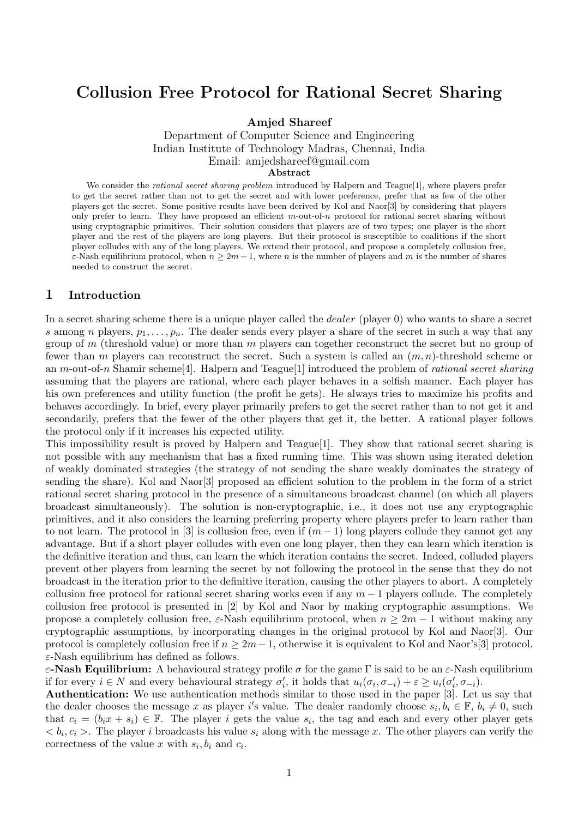# Collusion Free Protocol for Rational Secret Sharing

Amjed Shareef

Department of Computer Science and Engineering Indian Institute of Technology Madras, Chennai, India Email: amjedshareef@gmail.com

Abstract

We consider the *rational secret sharing problem* introduced by Halpern and Teague[1], where players prefer to get the secret rather than not to get the secret and with lower preference, prefer that as few of the other players get the secret. Some positive results have been derived by Kol and Naor[3] by considering that players only prefer to learn. They have proposed an efficient  $m$ -out-of-n protocol for rational secret sharing without using cryptographic primitives. Their solution considers that players are of two types; one player is the short player and the rest of the players are long players. But their protocol is susceptible to coalitions if the short player colludes with any of the long players. We extend their protocol, and propose a completely collusion free, ε-Nash equilibrium protocol, when  $n \geq 2m-1$ , where n is the number of players and m is the number of shares needed to construct the secret.

## 1 Introduction

In a secret sharing scheme there is a unique player called the dealer (player 0) who wants to share a secret s among n players,  $p_1, \ldots, p_n$ . The dealer sends every player a share of the secret in such a way that any group of  $m$  (threshold value) or more than  $m$  players can together reconstruct the secret but no group of fewer than m players can reconstruct the secret. Such a system is called an  $(m, n)$ -threshold scheme or an m-out-of-n Shamir scheme[4]. Halpern and Teague[1] introduced the problem of rational secret sharing assuming that the players are rational, where each player behaves in a selfish manner. Each player has his own preferences and utility function (the profit he gets). He always tries to maximize his profits and behaves accordingly. In brief, every player primarily prefers to get the secret rather than to not get it and secondarily, prefers that the fewer of the other players that get it, the better. A rational player follows the protocol only if it increases his expected utility.

This impossibility result is proved by Halpern and Teague[1]. They show that rational secret sharing is not possible with any mechanism that has a fixed running time. This was shown using iterated deletion of weakly dominated strategies (the strategy of not sending the share weakly dominates the strategy of sending the share). Kol and Naor[3] proposed an efficient solution to the problem in the form of a strict rational secret sharing protocol in the presence of a simultaneous broadcast channel (on which all players broadcast simultaneously). The solution is non-cryptographic, i.e., it does not use any cryptographic primitives, and it also considers the learning preferring property where players prefer to learn rather than to not learn. The protocol in [3] is collusion free, even if  $(m-1)$  long players collude they cannot get any advantage. But if a short player colludes with even one long player, then they can learn which iteration is the definitive iteration and thus, can learn the which iteration contains the secret. Indeed, colluded players prevent other players from learning the secret by not following the protocol in the sense that they do not broadcast in the iteration prior to the definitive iteration, causing the other players to abort. A completely collusion free protocol for rational secret sharing works even if any  $m-1$  players collude. The completely collusion free protocol is presented in [2] by Kol and Naor by making cryptographic assumptions. We propose a completely collusion free,  $\varepsilon$ -Nash equilibrium protocol, when  $n \geq 2m - 1$  without making any cryptographic assumptions, by incorporating changes in the original protocol by Kol and Naor[3]. Our protocol is completely collusion free if  $n \geq 2m-1$ , otherwise it is equivalent to Kol and Naor's[3] protocol.  $\varepsilon$ -Nash equilibrium has defined as follows.

ε-Nash Equilibrium: A behavioural strategy profile  $\sigma$  for the game Γ is said to be an ε-Nash equilibrium if for every  $i \in N$  and every behavioural strategy  $\sigma'_i$ , it holds that  $u_i(\sigma_i, \sigma_{-i}) + \varepsilon \ge u_i(\sigma'_i, \sigma_{-i})$ .

Authentication: We use authentication methods similar to those used in the paper [3]. Let us say that the dealer chooses the message x as player i's value. The dealer randomly choose  $s_i, b_i \in \mathbb{F}$ ,  $b_i \neq 0$ , such that  $c_i = (b_i x + s_i) \in \mathbb{F}$ . The player i gets the value  $s_i$ , the tag and each and every other player gets  $\langle b_i, c_i \rangle$ . The player i broadcasts his value  $s_i$  along with the message x. The other players can verify the correctness of the value x with  $s_i, b_i$  and  $c_i$ .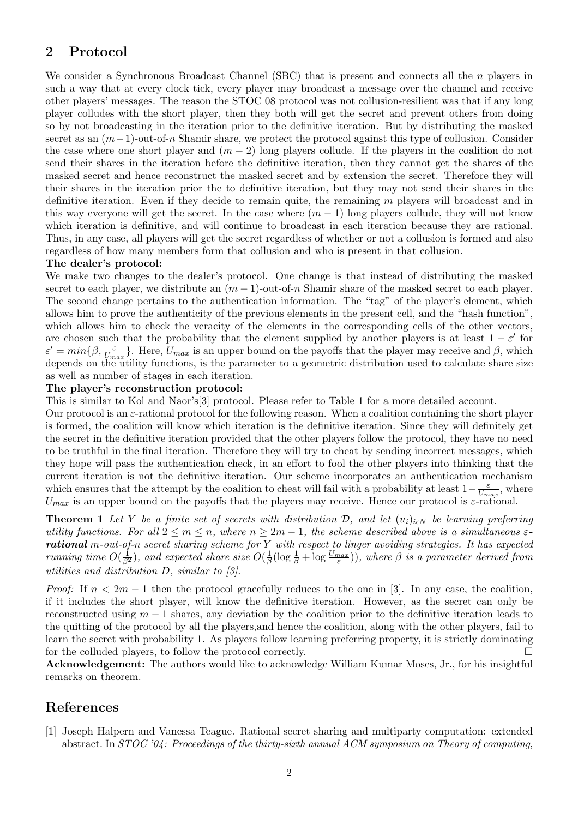# 2 Protocol

We consider a Synchronous Broadcast Channel (SBC) that is present and connects all the *n* players in such a way that at every clock tick, every player may broadcast a message over the channel and receive other players' messages. The reason the STOC 08 protocol was not collusion-resilient was that if any long player colludes with the short player, then they both will get the secret and prevent others from doing so by not broadcasting in the iteration prior to the definitive iteration. But by distributing the masked secret as an  $(m-1)$ -out-of-n Shamir share, we protect the protocol against this type of collusion. Consider the case where one short player and  $(m - 2)$  long players collude. If the players in the coalition do not send their shares in the iteration before the definitive iteration, then they cannot get the shares of the masked secret and hence reconstruct the masked secret and by extension the secret. Therefore they will their shares in the iteration prior the to definitive iteration, but they may not send their shares in the definitive iteration. Even if they decide to remain quite, the remaining m players will broadcast and in this way everyone will get the secret. In the case where  $(m - 1)$  long players collude, they will not know which iteration is definitive, and will continue to broadcast in each iteration because they are rational. Thus, in any case, all players will get the secret regardless of whether or not a collusion is formed and also regardless of how many members form that collusion and who is present in that collusion.

#### The dealer's protocol:

We make two changes to the dealer's protocol. One change is that instead of distributing the masked secret to each player, we distribute an  $(m-1)$ -out-of-n Shamir share of the masked secret to each player. The second change pertains to the authentication information. The "tag" of the player's element, which allows him to prove the authenticity of the previous elements in the present cell, and the "hash function", which allows him to check the veracity of the elements in the corresponding cells of the other vectors, are chosen such that the probability that the element supplied by another players is at least  $1 - \varepsilon'$  for  $\varepsilon' = min\{\beta, \frac{\varepsilon}{U_{max}}\}.$  Here,  $U_{max}$  is an upper bound on the payoffs that the player may receive and  $\beta$ , which depends on the utility functions, is the parameter to a geometric distribution used to calculate share size as well as number of stages in each iteration.

### The player's reconstruction protocol:

This is similar to Kol and Naor's[3] protocol. Please refer to Table 1 for a more detailed account.

Our protocol is an  $\varepsilon$ -rational protocol for the following reason. When a coalition containing the short player is formed, the coalition will know which iteration is the definitive iteration. Since they will definitely get the secret in the definitive iteration provided that the other players follow the protocol, they have no need to be truthful in the final iteration. Therefore they will try to cheat by sending incorrect messages, which they hope will pass the authentication check, in an effort to fool the other players into thinking that the current iteration is not the definitive iteration. Our scheme incorporates an authentication mechanism which ensures that the attempt by the coalition to cheat will fail with a probability at least  $1-\frac{\varepsilon}{L}$  $\frac{\varepsilon}{U_{max}}$ , where  $U_{max}$  is an upper bound on the payoffs that the players may receive. Hence our protocol is  $\varepsilon$ -rational.

**Theorem 1** Let Y be a finite set of secrets with distribution D, and let  $(u_i)_{i\in N}$  be learning preferring utility functions. For all  $2 \le m \le n$ , where  $n \ge 2m - 1$ , the scheme described above is a simultaneous  $\varepsilon$ rational m-out-of-n secret sharing scheme for Y with respect to linger avoiding strategies. It has expected running time  $O(\frac{1}{\beta^2})$ , and expected share size  $O(\frac{1}{\beta^2})$  $\frac{1}{\beta}(\log \frac{1}{\beta} + \log \frac{U_{max}}{\varepsilon}))$ , where  $\beta$  is a parameter derived from utilities and distribution D, similar to [3].

*Proof:* If  $n < 2m - 1$  then the protocol gracefully reduces to the one in [3]. In any case, the coalition, if it includes the short player, will know the definitive iteration. However, as the secret can only be reconstructed using  $m - 1$  shares, any deviation by the coalition prior to the definitive iteration leads to the quitting of the protocol by all the players,and hence the coalition, along with the other players, fail to learn the secret with probability 1. As players follow learning preferring property, it is strictly dominating for the colluded players, to follow the protocol correctly.  $\Box$ 

Acknowledgement: The authors would like to acknowledge William Kumar Moses, Jr., for his insightful remarks on theorem.

# References

[1] Joseph Halpern and Vanessa Teague. Rational secret sharing and multiparty computation: extended abstract. In  $STOC$  '04: Proceedings of the thirty-sixth annual ACM symposium on Theory of computing,